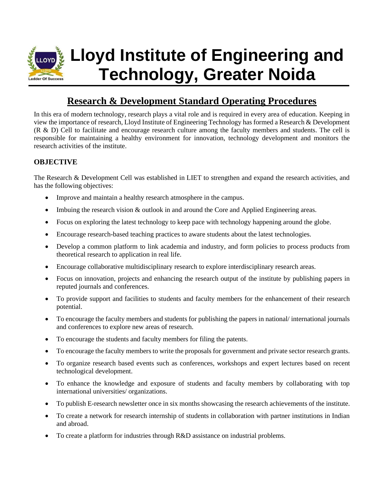

# **Lloyd Institute of Engineering and Technology, Greater Noida**

# **Research & Development Standard Operating Procedures**

In this era of modern technology, research plays a vital role and is required in every area of education. Keeping in view the importance of research, Lloyd Institute of Engineering Technology has formed a Research & Development (R & D) Cell to facilitate and encourage research culture among the faculty members and students. The cell is responsible for maintaining a healthy environment for innovation, technology development and monitors the research activities of the institute.

# **OBJECTIVE**

The Research & Development Cell was established in LIET to strengthen and expand the research activities, and has the following objectives:

- Improve and maintain a healthy research atmosphere in the campus.
- Imbuing the research vision & outlook in and around the Core and Applied Engineering areas.
- Focus on exploring the latest technology to keep pace with technology happening around the globe.
- Encourage research-based teaching practices to aware students about the latest technologies.
- Develop a common platform to link academia and industry, and form policies to process products from theoretical research to application in real life.
- Encourage collaborative multidisciplinary research to explore interdisciplinary research areas.
- Focus on innovation, projects and enhancing the research output of the institute by publishing papers in reputed journals and conferences.
- To provide support and facilities to students and faculty members for the enhancement of their research potential.
- To encourage the faculty members and students for publishing the papers in national/ international journals and conferences to explore new areas of research.
- To encourage the students and faculty members for filing the patents.
- To encourage the faculty members to write the proposals for government and private sector research grants.
- To organize research based events such as conferences, workshops and expert lectures based on recent technological development.
- To enhance the knowledge and exposure of students and faculty members by collaborating with top international universities/ organizations.
- To publish E-research newsletter once in six months showcasing the research achievements of the institute.
- To create a network for research internship of students in collaboration with partner institutions in Indian and abroad.
- To create a platform for industries through R&D assistance on industrial problems.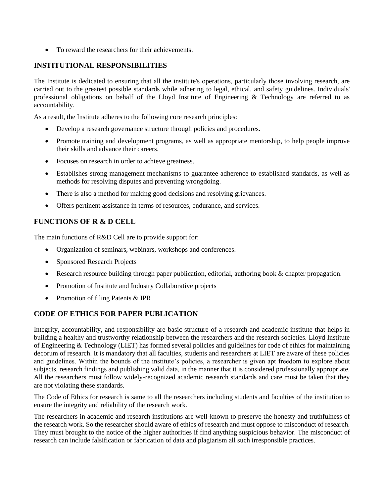• To reward the researchers for their achievements.

#### **INSTITUTIONAL RESPONSIBILITIES**

The Institute is dedicated to ensuring that all the institute's operations, particularly those involving research, are carried out to the greatest possible standards while adhering to legal, ethical, and safety guidelines. Individuals' professional obligations on behalf of the Lloyd Institute of Engineering & Technology are referred to as accountability.

As a result, the Institute adheres to the following core research principles:

- Develop a research governance structure through policies and procedures.
- Promote training and development programs, as well as appropriate mentorship, to help people improve their skills and advance their careers.
- Focuses on research in order to achieve greatness.
- Establishes strong management mechanisms to guarantee adherence to established standards, as well as methods for resolving disputes and preventing wrongdoing.
- There is also a method for making good decisions and resolving grievances.
- Offers pertinent assistance in terms of resources, endurance, and services.

#### **FUNCTIONS OF R & D CELL**

The main functions of R&D Cell are to provide support for:

- Organization of seminars, webinars, workshops and conferences.
- Sponsored Research Projects
- Research resource building through paper publication, editorial, authoring book & chapter propagation.
- Promotion of Institute and Industry Collaborative projects
- Promotion of filing Patents & IPR

## **CODE OF ETHICS FOR PAPER PUBLICATION**

Integrity, accountability, and responsibility are basic structure of a research and academic institute that helps in building a healthy and trustworthy relationship between the researchers and the research societies. Lloyd Institute of Engineering & Technology (LIET) has formed several policies and guidelines for code of ethics for maintaining decorum of research. It is mandatory that all faculties, students and researchers at LIET are aware of these policies and guidelines. Within the bounds of the institute's policies, a researcher is given apt freedom to explore about subjects, research findings and publishing valid data, in the manner that it is considered professionally appropriate. All the researchers must follow widely-recognized academic research standards and care must be taken that they are not violating these standards.

The Code of Ethics for research is same to all the researchers including students and faculties of the institution to ensure the integrity and reliability of the research work.

The researchers in academic and research institutions are well-known to preserve the honesty and truthfulness of the research work. So the researcher should aware of ethics of research and must oppose to misconduct of research. They must brought to the notice of the higher authorities if find anything suspicious behavior. The misconduct of research can include falsification or fabrication of data and plagiarism all such irresponsible practices.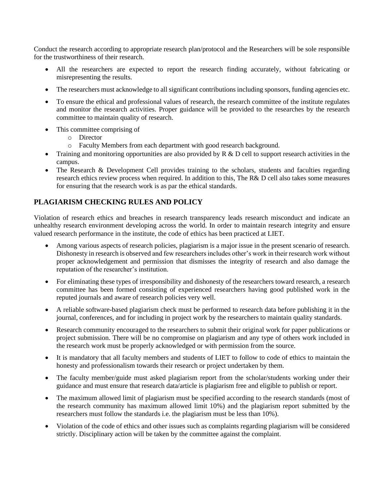Conduct the research according to appropriate research plan/protocol and the Researchers will be sole responsible for the trustworthiness of their research.

- All the researchers are expected to report the research finding accurately, without fabricating or misrepresenting the results.
- The researchers must acknowledge to all significant contributions including sponsors, funding agencies etc.
- To ensure the ethical and professional values of research, the research committee of the institute regulates and monitor the research activities. Proper guidance will be provided to the researches by the research committee to maintain quality of research.
- This committee comprising of
	- o Director
	- o Faculty Members from each department with good research background.
- Training and monitoring opportunities are also provided by R & D cell to support research activities in the campus.
- The Research & Development Cell provides training to the scholars, students and faculties regarding research ethics review process when required. In addition to this, The R& D cell also takes some measures for ensuring that the research work is as par the ethical standards.

# **PLAGIARISM CHECKING RULES AND POLICY**

Violation of research ethics and breaches in research transparency leads research misconduct and indicate an unhealthy research environment developing across the world. In order to maintain research integrity and ensure valued research performance in the institute, the code of ethics has been practiced at LIET.

- Among various aspects of research policies, plagiarism is a major issue in the present scenario of research. Dishonesty in research is observed and few researchers includes other's work in their research work without proper acknowledgement and permission that dismisses the integrity of research and also damage the reputation of the researcher's institution.
- For eliminating these types of irresponsibility and dishonesty of the researchers toward research, a research committee has been formed consisting of experienced researchers having good published work in the reputed journals and aware of research policies very well.
- A reliable software-based plagiarism check must be performed to research data before publishing it in the journal, conferences, and for including in project work by the researchers to maintain quality standards.
- Research community encouraged to the researchers to submit their original work for paper publications or project submission. There will be no compromise on plagiarism and any type of others work included in the research work must be properly acknowledged or with permission from the source.
- It is mandatory that all faculty members and students of LIET to follow to code of ethics to maintain the honesty and professionalism towards their research or project undertaken by them.
- The faculty member/guide must asked plagiarism report from the scholar/students working under their guidance and must ensure that research data/article is plagiarism free and eligible to publish or report.
- The maximum allowed limit of plagiarism must be specified according to the research standards (most of the research community has maximum allowed limit 10%) and the plagiarism report submitted by the researchers must follow the standards i.e. the plagiarism must be less than 10%).
- Violation of the code of ethics and other issues such as complaints regarding plagiarism will be considered strictly. Disciplinary action will be taken by the committee against the complaint.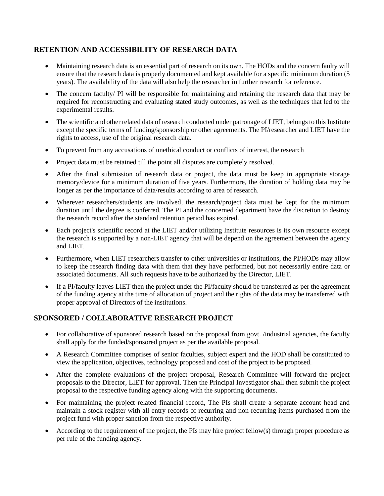## **RETENTION AND ACCESSIBILITY OF RESEARCH DATA**

- Maintaining research data is an essential part of research on its own. The HODs and the concern faulty will ensure that the research data is properly documented and kept available for a specific minimum duration (5 years). The availability of the data will also help the researcher in further research for reference.
- The concern faculty/ PI will be responsible for maintaining and retaining the research data that may be required for reconstructing and evaluating stated study outcomes, as well as the techniques that led to the experimental results.
- The scientific and other related data of research conducted under patronage of LIET, belongs to this Institute except the specific terms of funding/sponsorship or other agreements. The PI/researcher and LIET have the rights to access, use of the original research data.
- To prevent from any accusations of unethical conduct or conflicts of interest, the research
- Project data must be retained till the point all disputes are completely resolved.
- After the final submission of research data or project, the data must be keep in appropriate storage memory/device for a minimum duration of five years. Furthermore, the duration of holding data may be longer as per the importance of data/results according to area of research.
- Wherever researchers/students are involved, the research/project data must be kept for the minimum duration until the degree is conferred. The PI and the concerned department have the discretion to destroy the research record after the standard retention period has expired.
- Each project's scientific record at the LIET and/or utilizing Institute resources is its own resource except the research is supported by a non-LIET agency that will be depend on the agreement between the agency and LIET.
- Furthermore, when LIET researchers transfer to other universities or institutions, the PI/HODs may allow to keep the research finding data with them that they have performed, but not necessarily entire data or associated documents. All such requests have to be authorized by the Director, LIET.
- If a PI/faculty leaves LIET then the project under the PI/faculty should be transferred as per the agreement of the funding agency at the time of allocation of project and the rights of the data may be transferred with proper approval of Directors of the institutions.

## **SPONSORED / COLLABORATIVE RESEARCH PROJECT**

- For collaborative of sponsored research based on the proposal from govt. /industrial agencies, the faculty shall apply for the funded/sponsored project as per the available proposal.
- A Research Committee comprises of senior faculties, subject expert and the HOD shall be constituted to view the application, objectives, technology proposed and cost of the project to be proposed.
- After the complete evaluations of the project proposal, Research Committee will forward the project proposals to the Director, LIET for approval. Then the Principal Investigator shall then submit the project proposal to the respective funding agency along with the supporting documents.
- For maintaining the project related financial record, The PIs shall create a separate account head and maintain a stock register with all entry records of recurring and non-recurring items purchased from the project fund with proper sanction from the respective authority.
- According to the requirement of the project, the PIs may hire project fellow(s) through proper procedure as per rule of the funding agency.